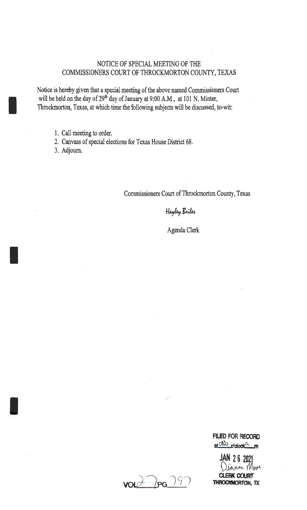# NOTICE OF SPECIAL MEETING OF THE COMMISSIONERS COURT OF THROCKMORTON COUNTY, TEXAS

Notice is hereby given that a special meeting of the above named Commissioners Court will be held on the day of  $29<sup>th</sup>$  day of January at 9:00 A.M., at 101 N. Minter, Throckmorton, Texas, at which time the following subjects will be discussed, to-wit:

- 1. Call meeting to order.
- 2. Canvass of special elections for Texas House District 68.
- 3. Adjourn.

I

I

I

Commissioners Court of Throckmorton County, Texas

Hayley Briles

Agenda Clerk

 $vol2$ pg  $99$ 

 $\mathcal{F}^{\mathcal{A}}$ 

**FILED FOR RECORD**   $ar<sup>CRD</sup>$  o  $r$ clock $\frac{a}{m}$ n

**JAN 26 2021**<br>Déanne *Moir* **CLERK COURT THROCMMORTON,** *1X*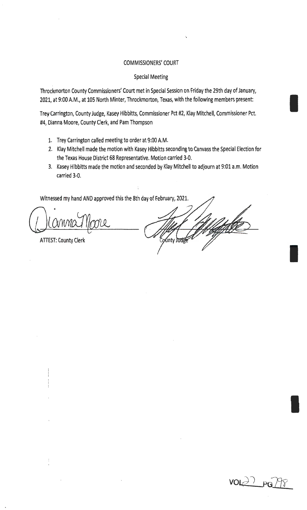### COMMISSIONERS' COURT

...

#### Special Meeting

Throckmorton County Commissioners' Court met in Special Session on Friday the 29th day of January, 2021, at 9:00 A.M., at 105 North Minter, Throckmorton, Texas, with the following members present:

Trey Carrington, County Judge, Kasey Hibbitts, Commissioner Pct #2, Klay Mitchell, Commissioner Pct. #4, Dianna Moore, County Clerk, and Pam Thompson

- 1. Trey Carrington called meeting to order at 9:00 A.M.
- 2. Klay Mitchell made the motion with Kasey Hibbitts seconding to Canvass the Special Election for the Texas House District 68 Representative. Motion carried 3-0.
- 3. Kasey Hibbitts made the motion and seconded by Klay Mitchell to adjourn at 9:01 a.m. Motion carried 3-0.

Witnessed my hand AND approved this the 8th day of February, 2021.

ATTEST: County Clerk

inty J<del>ud</del>i

 $VOL$   $\geq$   $PG$ 

I

I

I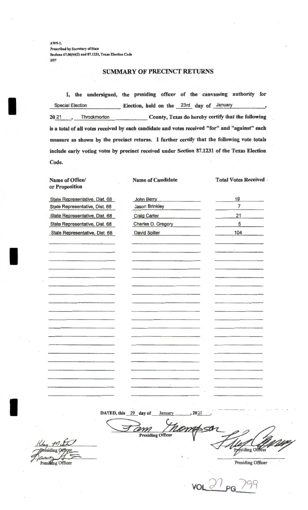AW9-1. Prescribed by Secretary of State Sections 67.00(b)(2) and 87.1231, Texas Election Code 3/07

#### SUMMARY OF PRECINCT RETURNS

I, the undersigned, the presiding officer of the canvassing authority for Special Election \_\_\_\_\_\_\_ \_\_\_\_ Election, held on the 23rd day of January 20 21 \_\_\_, Throckmorton \_\_\_\_\_\_\_\_\_\_\_\_\_\_\_ County, Texas do hereby certify that the following is a total of all votes received by each candidate and votes received "for" and "against" each measure as shown by the precinct returns. I further certify that the following vote totals include early voting votes by precinct received under Section 87.1231 of the Texas Election Code.

Name of Office/ or Proposition

I

I

I

Name of Candidate

Total Votes Received .

State Representative. Dist. 68 State Representative, Dist. State Representative, Dis. State Representative, Dis. State Representative, Dis

| <b>Jason Brinkley</b><br>$\overline{7}$<br>it. 68<br><b>Craig Carter</b><br>st. 68<br>21<br>Charles D. Gregory<br>5<br>st. 68<br>104<br>David Spiller<br>st. 68<br>٠ |  |
|----------------------------------------------------------------------------------------------------------------------------------------------------------------------|--|
|                                                                                                                                                                      |  |
|                                                                                                                                                                      |  |
|                                                                                                                                                                      |  |
|                                                                                                                                                                      |  |
|                                                                                                                                                                      |  |
|                                                                                                                                                                      |  |
|                                                                                                                                                                      |  |
|                                                                                                                                                                      |  |
|                                                                                                                                                                      |  |
|                                                                                                                                                                      |  |
|                                                                                                                                                                      |  |
|                                                                                                                                                                      |  |
|                                                                                                                                                                      |  |
|                                                                                                                                                                      |  |
|                                                                                                                                                                      |  |
| ÷,                                                                                                                                                                   |  |
|                                                                                                                                                                      |  |
|                                                                                                                                                                      |  |
|                                                                                                                                                                      |  |
| $\ell$                                                                                                                                                               |  |

DATED, this 29 day of January 2021

Form Themassar for the Filed Comparison Find Maries Presiding Officer<br>Presiding Officer Presiding Officer Presiding Officer

 $\overline{V}$ OL  $\overline{V}$ <sup>1</sup> PG